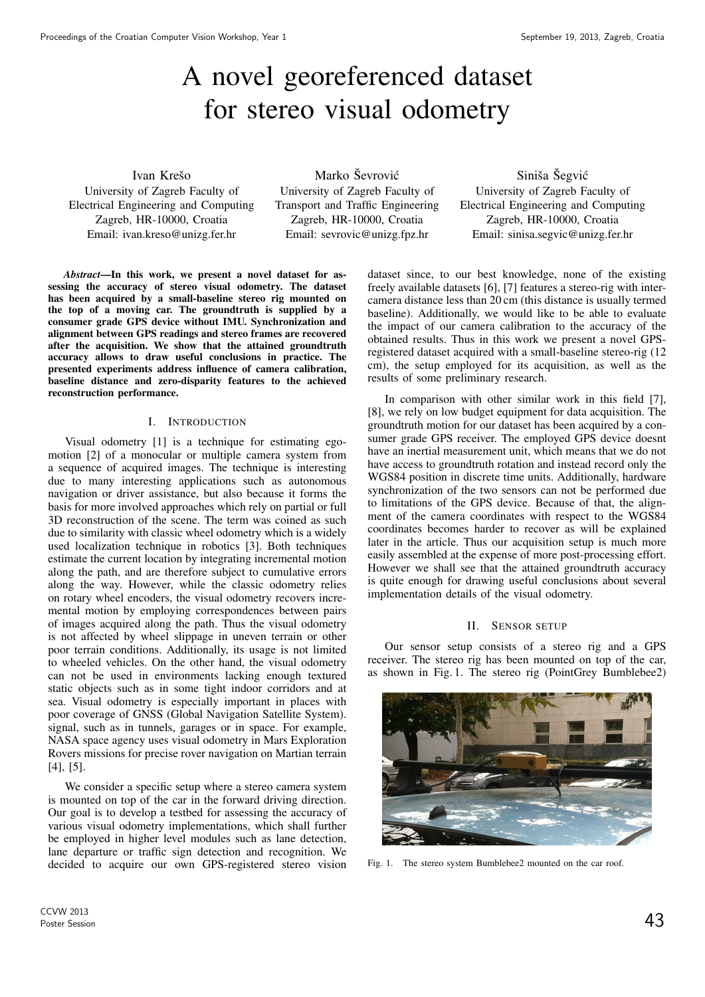# A novel georeferenced dataset for stereo visual odometry

Ivan Krešo University of Zagreb Faculty of Electrical Engineering and Computing Zagreb, HR-10000, Croatia Email: ivan.kreso@unizg.fer.hr

Marko Ševrović University of Zagreb Faculty of Transport and Traffic Engineering Zagreb, HR-10000, Croatia Email: sevrovic@unizg.fpz.hr

Siniša Šegvić University of Zagreb Faculty of Electrical Engineering and Computing Zagreb, HR-10000, Croatia Email: sinisa.segvic@unizg.fer.hr

*Abstract*—In this work, we present a novel dataset for assessing the accuracy of stereo visual odometry. The dataset has been acquired by a small-baseline stereo rig mounted on the top of a moving car. The groundtruth is supplied by a consumer grade GPS device without IMU. Synchronization and alignment between GPS readings and stereo frames are recovered after the acquisition. We show that the attained groundtruth accuracy allows to draw useful conclusions in practice. The presented experiments address influence of camera calibration, baseline distance and zero-disparity features to the achieved reconstruction performance.

# I. INTRODUCTION

Visual odometry [1] is a technique for estimating egomotion [2] of a monocular or multiple camera system from a sequence of acquired images. The technique is interesting due to many interesting applications such as autonomous navigation or driver assistance, but also because it forms the basis for more involved approaches which rely on partial or full 3D reconstruction of the scene. The term was coined as such due to similarity with classic wheel odometry which is a widely used localization technique in robotics [3]. Both techniques estimate the current location by integrating incremental motion along the path, and are therefore subject to cumulative errors along the way. However, while the classic odometry relies on rotary wheel encoders, the visual odometry recovers incremental motion by employing correspondences between pairs of images acquired along the path. Thus the visual odometry is not affected by wheel slippage in uneven terrain or other poor terrain conditions. Additionally, its usage is not limited to wheeled vehicles. On the other hand, the visual odometry can not be used in environments lacking enough textured static objects such as in some tight indoor corridors and at sea. Visual odometry is especially important in places with poor coverage of GNSS (Global Navigation Satellite System). signal, such as in tunnels, garages or in space. For example, NASA space agency uses visual odometry in Mars Exploration Rovers missions for precise rover navigation on Martian terrain [4], [5].

We consider a specific setup where a stereo camera system is mounted on top of the car in the forward driving direction. Our goal is to develop a testbed for assessing the accuracy of various visual odometry implementations, which shall further be employed in higher level modules such as lane detection, lane departure or traffic sign detection and recognition. We decided to acquire our own GPS-registered stereo vision dataset since, to our best knowledge, none of the existing freely available datasets [6], [7] features a stereo-rig with intercamera distance less than 20 cm (this distance is usually termed baseline). Additionally, we would like to be able to evaluate the impact of our camera calibration to the accuracy of the obtained results. Thus in this work we present a novel GPSregistered dataset acquired with a small-baseline stereo-rig (12 cm), the setup employed for its acquisition, as well as the results of some preliminary research.

In comparison with other similar work in this field [7], [8], we rely on low budget equipment for data acquisition. The groundtruth motion for our dataset has been acquired by a consumer grade GPS receiver. The employed GPS device doesnt have an inertial measurement unit, which means that we do not have access to groundtruth rotation and instead record only the WGS84 position in discrete time units. Additionally, hardware synchronization of the two sensors can not be performed due to limitations of the GPS device. Because of that, the alignment of the camera coordinates with respect to the WGS84 coordinates becomes harder to recover as will be explained later in the article. Thus our acquisition setup is much more easily assembled at the expense of more post-processing effort. However we shall see that the attained groundtruth accuracy is quite enough for drawing useful conclusions about several implementation details of the visual odometry.

# II. SENSOR SETUP

Our sensor setup consists of a stereo rig and a GPS receiver. The stereo rig has been mounted on top of the car, as shown in Fig. 1. The stereo rig (PointGrey Bumblebee2)



Fig. 1. The stereo system Bumblebee2 mounted on the car roof.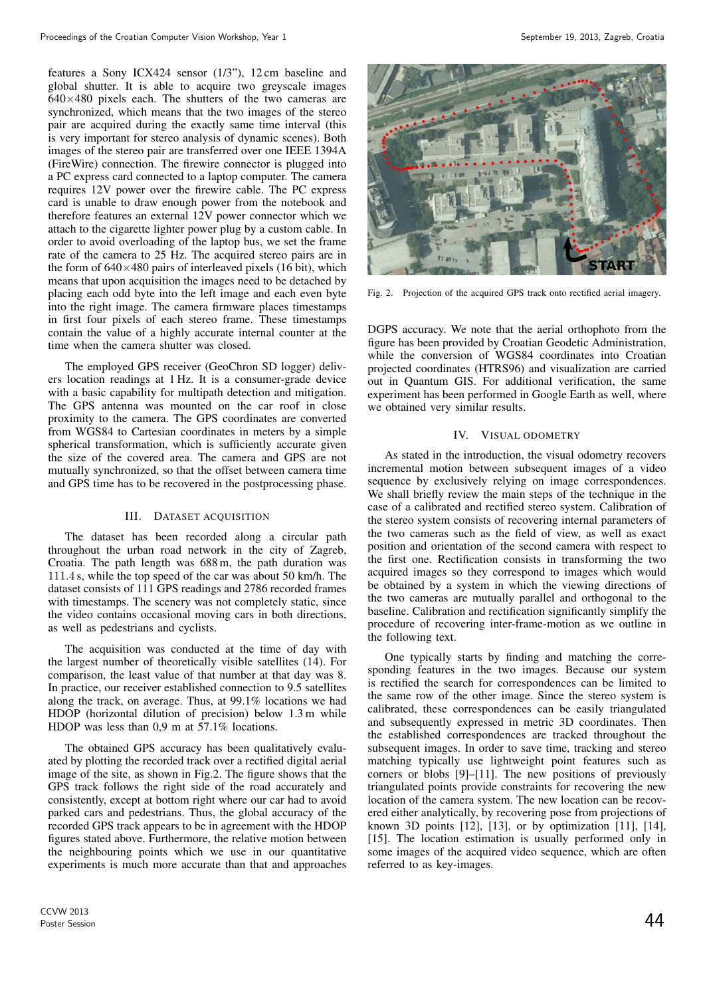features a Sony ICX424 sensor (1/3"), 12 cm baseline and global shutter. It is able to acquire two greyscale images  $640\times480$  pixels each. The shutters of the two cameras are synchronized, which means that the two images of the stereo pair are acquired during the exactly same time interval (this is very important for stereo analysis of dynamic scenes). Both images of the stereo pair are transferred over one IEEE 1394A (FireWire) connection. The firewire connector is plugged into a PC express card connected to a laptop computer. The camera requires 12V power over the firewire cable. The PC express card is unable to draw enough power from the notebook and therefore features an external 12V power connector which we attach to the cigarette lighter power plug by a custom cable. In order to avoid overloading of the laptop bus, we set the frame rate of the camera to 25 Hz. The acquired stereo pairs are in the form of  $640\times480$  pairs of interleaved pixels (16 bit), which means that upon acquisition the images need to be detached by placing each odd byte into the left image and each even byte into the right image. The camera firmware places timestamps in first four pixels of each stereo frame. These timestamps contain the value of a highly accurate internal counter at the time when the camera shutter was closed.

The employed GPS receiver (GeoChron SD logger) delivers location readings at 1 Hz. It is a consumer-grade device with a basic capability for multipath detection and mitigation. The GPS antenna was mounted on the car roof in close proximity to the camera. The GPS coordinates are converted from WGS84 to Cartesian coordinates in meters by a simple spherical transformation, which is sufficiently accurate given the size of the covered area. The camera and GPS are not mutually synchronized, so that the offset between camera time and GPS time has to be recovered in the postprocessing phase.

# III. DATASET ACQUISITION

The dataset has been recorded along a circular path throughout the urban road network in the city of Zagreb, Croatia. The path length was 688 m, the path duration was 111.4 s, while the top speed of the car was about 50 km/h. The dataset consists of 111 GPS readings and 2786 recorded frames with timestamps. The scenery was not completely static, since the video contains occasional moving cars in both directions, as well as pedestrians and cyclists.

The acquisition was conducted at the time of day with the largest number of theoretically visible satellites (14). For comparison, the least value of that number at that day was 8. In practice, our receiver established connection to 9.5 satellites along the track, on average. Thus, at 99.1% locations we had HDOP (horizontal dilution of precision) below 1.3 m while HDOP was less than 0,9 m at 57.1% locations.

The obtained GPS accuracy has been qualitatively evaluated by plotting the recorded track over a rectified digital aerial image of the site, as shown in Fig.2. The figure shows that the GPS track follows the right side of the road accurately and consistently, except at bottom right where our car had to avoid parked cars and pedestrians. Thus, the global accuracy of the recorded GPS track appears to be in agreement with the HDOP figures stated above. Furthermore, the relative motion between the neighbouring points which we use in our quantitative experiments is much more accurate than that and approaches



Fig. 2. Projection of the acquired GPS track onto rectified aerial imagery.

DGPS accuracy. We note that the aerial orthophoto from the figure has been provided by Croatian Geodetic Administration, while the conversion of WGS84 coordinates into Croatian projected coordinates (HTRS96) and visualization are carried out in Quantum GIS. For additional verification, the same experiment has been performed in Google Earth as well, where we obtained very similar results.

# IV. VISUAL ODOMETRY

As stated in the introduction, the visual odometry recovers incremental motion between subsequent images of a video sequence by exclusively relying on image correspondences. We shall briefly review the main steps of the technique in the case of a calibrated and rectified stereo system. Calibration of the stereo system consists of recovering internal parameters of the two cameras such as the field of view, as well as exact position and orientation of the second camera with respect to the first one. Rectification consists in transforming the two acquired images so they correspond to images which would be obtained by a system in which the viewing directions of the two cameras are mutually parallel and orthogonal to the baseline. Calibration and rectification significantly simplify the procedure of recovering inter-frame-motion as we outline in the following text.

One typically starts by finding and matching the corresponding features in the two images. Because our system is rectified the search for correspondences can be limited to the same row of the other image. Since the stereo system is calibrated, these correspondences can be easily triangulated and subsequently expressed in metric 3D coordinates. Then the established correspondences are tracked throughout the subsequent images. In order to save time, tracking and stereo matching typically use lightweight point features such as corners or blobs [9]–[11]. The new positions of previously triangulated points provide constraints for recovering the new location of the camera system. The new location can be recovered either analytically, by recovering pose from projections of known 3D points [12], [13], or by optimization [11], [14], [15]. The location estimation is usually performed only in some images of the acquired video sequence, which are often referred to as key-images.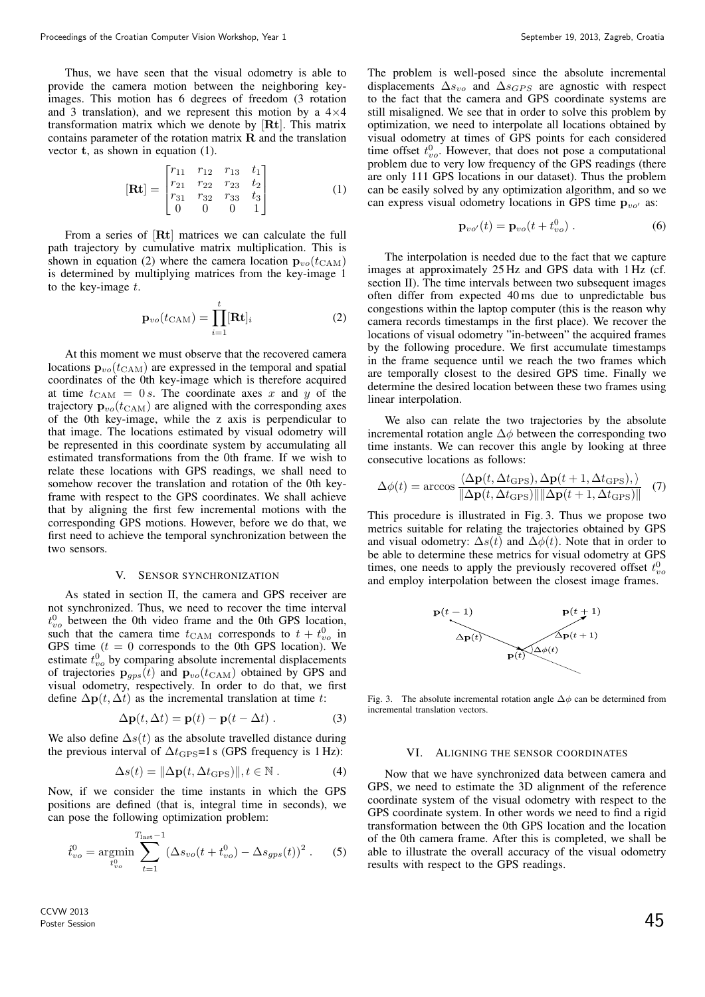Thus, we have seen that the visual odometry is able to provide the camera motion between the neighboring keyimages. This motion has 6 degrees of freedom (3 rotation and 3 translation), and we represent this motion by a  $4\times4$ transformation matrix which we denote by [Rt]. This matrix contains parameter of the rotation matrix  $\bf{R}$  and the translation vector t, as shown in equation (1).

$$
\begin{bmatrix} \mathbf{R} \mathbf{t} \end{bmatrix} = \begin{bmatrix} r_{11} & r_{12} & r_{13} & t_1 \\ r_{21} & r_{22} & r_{23} & t_2 \\ r_{31} & r_{32} & r_{33} & t_3 \\ 0 & 0 & 0 & 1 \end{bmatrix} \tag{1}
$$

From a series of [Rt] matrices we can calculate the full path trajectory by cumulative matrix multiplication. This is shown in equation (2) where the camera location  $\mathbf{p}_{vo}(t_{\text{CAM}})$ is determined by multiplying matrices from the key-image 1 to the key-image  $t$ .

$$
\mathbf{p}_{vo}(t_{\text{CAM}}) = \prod_{i=1}^{t} [\mathbf{R} \mathbf{t}]_i \tag{2}
$$

At this moment we must observe that the recovered camera locations  $\mathbf{p}_{vo}(t_{\text{CAM}})$  are expressed in the temporal and spatial coordinates of the 0th key-image which is therefore acquired at time  $t_{\text{CAM}} = 0 s$ . The coordinate axes x and y of the trajectory  $\mathbf{p}_{vo}(t_{\text{CAM}})$  are aligned with the corresponding axes of the 0th key-image, while the z axis is perpendicular to that image. The locations estimated by visual odometry will be represented in this coordinate system by accumulating all estimated transformations from the 0th frame. If we wish to relate these locations with GPS readings, we shall need to somehow recover the translation and rotation of the 0th keyframe with respect to the GPS coordinates. We shall achieve that by aligning the first few incremental motions with the corresponding GPS motions. However, before we do that, we first need to achieve the temporal synchronization between the two sensors.

# V. SENSOR SYNCHRONIZATION

As stated in section II, the camera and GPS receiver are not synchronized. Thus, we need to recover the time interval  $t_{vo}^0$  between the 0th video frame and the 0th GPS location, such that the camera time  $t_{\text{CAM}}$  corresponds to  $t + t_{vo}^0$  in GPS time  $(t = 0$  corresponds to the 0th GPS location). We estimate  $t_{vo}^0$  by comparing absolute incremental displacements of trajectories  $\mathbf{p}_{gps}(t)$  and  $\mathbf{p}_{vo}(t_{\text{CAM}})$  obtained by GPS and visual odometry, respectively. In order to do that, we first define  $\Delta p(t, \Delta t)$  as the incremental translation at time t:

$$
\Delta \mathbf{p}(t, \Delta t) = \mathbf{p}(t) - \mathbf{p}(t - \Delta t) \tag{3}
$$

We also define  $\Delta s(t)$  as the absolute travelled distance during the previous interval of  $\Delta t_{\text{GPS}}=1 \text{ s}$  (GPS frequency is 1 Hz):

$$
\Delta s(t) = \|\Delta \mathbf{p}(t, \Delta t_{\text{GPS}})\|, t \in \mathbb{N}.
$$
 (4)

Now, if we consider the time instants in which the GPS positions are defined (that is, integral time in seconds), we can pose the following optimization problem:

$$
\hat{t}_{vo}^{0} = \underset{t_{vo}^{0}}{\text{argmin}} \sum_{t=1}^{T_{\text{last}}-1} (\Delta s_{vo}(t+t_{vo}^{0}) - \Delta s_{gps}(t))^{2} . \tag{5}
$$

The problem is well-posed since the absolute incremental displacements  $\Delta s_{vo}$  and  $\Delta s_{GPS}$  are agnostic with respect to the fact that the camera and GPS coordinate systems are still misaligned. We see that in order to solve this problem by optimization, we need to interpolate all locations obtained by visual odometry at times of GPS points for each considered time offset  $t_{vo}^0$ . However, that does not pose a computational problem due to very low frequency of the GPS readings (there are only 111 GPS locations in our dataset). Thus the problem can be easily solved by any optimization algorithm, and so we can express visual odometry locations in GPS time  $p_{vo'}$  as:

$$
\mathbf{p}_{vo'}(t) = \mathbf{p}_{vo}(t + t_{vo}^0) \ . \tag{6}
$$

The interpolation is needed due to the fact that we capture images at approximately 25 Hz and GPS data with 1 Hz (cf. section II). The time intervals between two subsequent images often differ from expected 40 ms due to unpredictable bus congestions within the laptop computer (this is the reason why camera records timestamps in the first place). We recover the locations of visual odometry "in-between" the acquired frames by the following procedure. We first accumulate timestamps in the frame sequence until we reach the two frames which are temporally closest to the desired GPS time. Finally we determine the desired location between these two frames using linear interpolation.

We also can relate the two trajectories by the absolute incremental rotation angle  $\Delta \phi$  between the corresponding two time instants. We can recover this angle by looking at three consecutive locations as follows:

$$
\Delta\phi(t) = \arccos\frac{\langle \Delta\mathbf{p}(t, \Delta t_{\text{GPS}}), \Delta\mathbf{p}(t+1, \Delta t_{\text{GPS}}), \rangle}{\|\Delta\mathbf{p}(t, \Delta t_{\text{GPS}})\| \|\Delta\mathbf{p}(t+1, \Delta t_{\text{GPS}})\|} \tag{7}
$$

This procedure is illustrated in Fig. 3. Thus we propose two metrics suitable for relating the trajectories obtained by GPS and visual odometry:  $\Delta s(t)$  and  $\Delta \phi(t)$ . Note that in order to be able to determine these metrics for visual odometry at GPS times, one needs to apply the previously recovered offset  $t_{vo}^0$ and employ interpolation between the closest image frames.



Fig. 3. The absolute incremental rotation angle  $\Delta \phi$  can be determined from incremental translation vectors.

# VI. ALIGNING THE SENSOR COORDINATES

Now that we have synchronized data between camera and GPS, we need to estimate the 3D alignment of the reference coordinate system of the visual odometry with respect to the GPS coordinate system. In other words we need to find a rigid transformation between the 0th GPS location and the location of the 0th camera frame. After this is completed, we shall be able to illustrate the overall accuracy of the visual odometry results with respect to the GPS readings.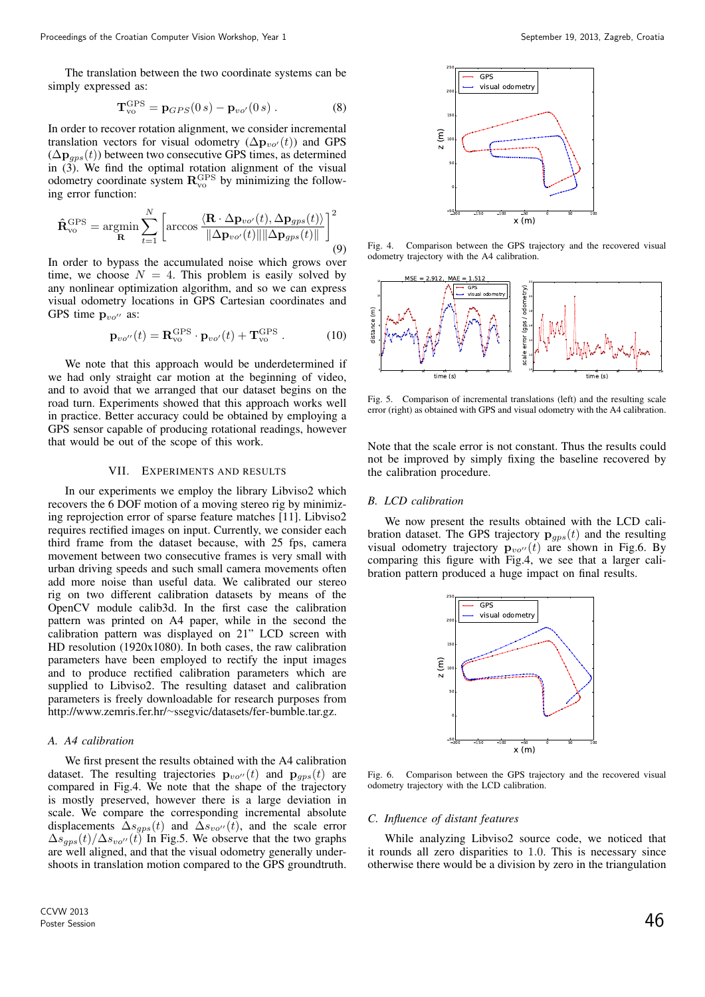The translation between the two coordinate systems can be simply expressed as:

$$
\mathbf{T}_{\text{vo}}^{\text{GPS}} = \mathbf{p}_{GPS}(0 \, s) - \mathbf{p}_{\text{vo}'}(0 \, s) \,. \tag{8}
$$

In order to recover rotation alignment, we consider incremental translation vectors for visual odometry ( $\Delta \mathbf{p}_{vo'}(t)$ ) and GPS  $(\Delta \mathbf{p}_{qps}(t))$  between two consecutive GPS times, as determined in (3). We find the optimal rotation alignment of the visual odometry coordinate system  $\mathbf{R}_{vo}^{\text{GPS}}$  by minimizing the following error function:

$$
\hat{\mathbf{R}}_{\text{vo}}^{\text{GPS}} = \underset{\mathbf{R}}{\text{argmin}} \sum_{t=1}^{N} \left[ \arccos \frac{\langle \mathbf{R} \cdot \Delta \mathbf{p}_{vo'}(t), \Delta \mathbf{p}_{gps}(t) \rangle}{\|\Delta \mathbf{p}_{vo'}(t)\| \|\Delta \mathbf{p}_{gps}(t)\|} \right]^2 \tag{9}
$$

In order to bypass the accumulated noise which grows over time, we choose  $N = 4$ . This problem is easily solved by any nonlinear optimization algorithm, and so we can express visual odometry locations in GPS Cartesian coordinates and GPS time  $\mathbf{p}_{vo^{\prime\prime}}$  as:

$$
\mathbf{p}_{vo''}(t) = \mathbf{R}_{vo}^{\text{GPS}} \cdot \mathbf{p}_{vo'}(t) + \mathbf{T}_{vo}^{\text{GPS}} . \tag{10}
$$

We note that this approach would be underdetermined if we had only straight car motion at the beginning of video, and to avoid that we arranged that our dataset begins on the road turn. Experiments showed that this approach works well in practice. Better accuracy could be obtained by employing a GPS sensor capable of producing rotational readings, however that would be out of the scope of this work.

# VII. EXPERIMENTS AND RESULTS

In our experiments we employ the library Libviso2 which recovers the 6 DOF motion of a moving stereo rig by minimizing reprojection error of sparse feature matches [11]. Libviso2 requires rectified images on input. Currently, we consider each third frame from the dataset because, with 25 fps, camera movement between two consecutive frames is very small with urban driving speeds and such small camera movements often add more noise than useful data. We calibrated our stereo rig on two different calibration datasets by means of the OpenCV module calib3d. In the first case the calibration pattern was printed on A4 paper, while in the second the calibration pattern was displayed on 21" LCD screen with HD resolution (1920x1080). In both cases, the raw calibration parameters have been employed to rectify the input images and to produce rectified calibration parameters which are supplied to Libviso2. The resulting dataset and calibration parameters is freely downloadable for research purposes from http://www.zemris.fer.hr/<sup>∼</sup>ssegvic/datasets/fer-bumble.tar.gz.

### *A. A4 calibration*

We first present the results obtained with the A4 calibration dataset. The resulting trajectories  $\mathbf{p}_{vo'}(t)$  and  $\mathbf{p}_{gps}(t)$  are compared in Fig.4. We note that the shape of the trajectory is mostly preserved, however there is a large deviation in scale. We compare the corresponding incremental absolute displacements  $\Delta s_{qps}(t)$  and  $\Delta s_{vo'}(t)$ , and the scale error  $\Delta s_{qps}(t)/\Delta s_{vo'}(t)$  In Fig.5. We observe that the two graphs are well aligned, and that the visual odometry generally undershoots in translation motion compared to the GPS groundtruth.



Fig. 4. Comparison between the GPS trajectory and the recovered visual odometry trajectory with the A4 calibration.



Fig. 5. Comparison of incremental translations (left) and the resulting scale error (right) as obtained with GPS and visual odometry with the A4 calibration.

Note that the scale error is not constant. Thus the results could not be improved by simply fixing the baseline recovered by the calibration procedure.

# *B. LCD calibration*

We now present the results obtained with the LCD calibration dataset. The GPS trajectory  $\mathbf{p}_{qps}(t)$  and the resulting visual odometry trajectory  $\mathbf{p}_{vo''}(t)$  are shown in Fig.6. By comparing this figure with Fig.4, we see that a larger calibration pattern produced a huge impact on final results.



Fig. 6. Comparison between the GPS trajectory and the recovered visual odometry trajectory with the LCD calibration.

# *C. Influence of distant features*

While analyzing Libviso2 source code, we noticed that it rounds all zero disparities to 1.0. This is necessary since otherwise there would be a division by zero in the triangulation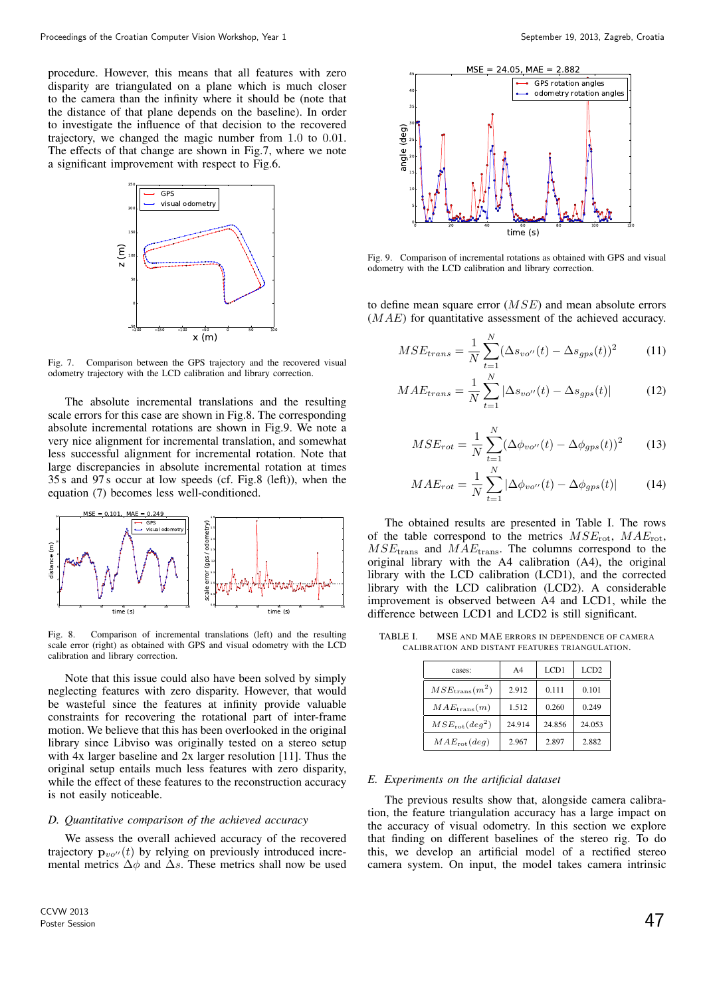procedure. However, this means that all features with zero disparity are triangulated on a plane which is much closer to the camera than the infinity where it should be (note that the distance of that plane depends on the baseline). In order to investigate the influence of that decision to the recovered trajectory, we changed the magic number from 1.0 to 0.01. The effects of that change are shown in Fig.7, where we note a significant improvement with respect to Fig.6.



Fig. 7. Comparison between the GPS trajectory and the recovered visual odometry trajectory with the LCD calibration and library correction.

The absolute incremental translations and the resulting scale errors for this case are shown in Fig.8. The corresponding absolute incremental rotations are shown in Fig.9. We note a very nice alignment for incremental translation, and somewhat less successful alignment for incremental rotation. Note that large discrepancies in absolute incremental rotation at times 35 s and 97 s occur at low speeds (cf. Fig.8 (left)), when the equation (7) becomes less well-conditioned.



Fig. 8. Comparison of incremental translations (left) and the resulting scale error (right) as obtained with GPS and visual odometry with the LCD calibration and library correction.

Note that this issue could also have been solved by simply neglecting features with zero disparity. However, that would be wasteful since the features at infinity provide valuable constraints for recovering the rotational part of inter-frame motion. We believe that this has been overlooked in the original library since Libviso was originally tested on a stereo setup with 4x larger baseline and 2x larger resolution [11]. Thus the original setup entails much less features with zero disparity, while the effect of these features to the reconstruction accuracy is not easily noticeable.

# *D. Quantitative comparison of the achieved accuracy*

We assess the overall achieved accuracy of the recovered trajectory  $\mathbf{p}_{vo''}(t)$  by relying on previously introduced incremental metrics  $\Delta \phi$  and  $\Delta s$ . These metrics shall now be used



Fig. 9. Comparison of incremental rotations as obtained with GPS and visual odometry with the LCD calibration and library correction.

to define mean square error (MSE) and mean absolute errors (MAE) for quantitative assessment of the achieved accuracy.

$$
MSE_{trans} = \frac{1}{N} \sum_{t=1}^{N} (\Delta s_{vo''}(t) - \Delta s_{gps}(t))^2
$$
 (11)

$$
MAE_{trans} = \frac{1}{N} \sum_{t=1}^{N} |\Delta s_{vo''}(t) - \Delta s_{gps}(t)| \tag{12}
$$

$$
MSE_{rot} = \frac{1}{N} \sum_{t=1}^{N} (\Delta \phi_{vo''}(t) - \Delta \phi_{gps}(t))^2
$$
 (13)

$$
MAE_{rot} = \frac{1}{N} \sum_{t=1}^{N} |\Delta \phi_{vo''}(t) - \Delta \phi_{gps}(t)| \tag{14}
$$

The obtained results are presented in Table I. The rows of the table correspond to the metrics  $MSE_{\text{rot}}$ ,  $MAE_{\text{rot}}$ ,  $MSE<sub>trans</sub>$  and  $MAE<sub>trans</sub>$ . The columns correspond to the original library with the A4 calibration (A4), the original library with the LCD calibration (LCD1), and the corrected library with the LCD calibration (LCD2). A considerable improvement is observed between A4 and LCD1, while the difference between LCD1 and LCD2 is still significant.

TABLE I. MSE AND MAE ERRORS IN DEPENDENCE OF CAMERA CALIBRATION AND DISTANT FEATURES TRIANGULATION.

| cases:                 | A <sub>4</sub> | LCD1   | LCD <sub>2</sub> |
|------------------------|----------------|--------|------------------|
| $MSE_{trans}(m^2)$     | 2.912          | 0.111  | 0.101            |
| $MAE_{trans}(m)$       | 1.512          | 0.260  | 0.249            |
| $MSE_{\rm rot}(deg^2)$ | 24.914         | 24.856 | 24.053           |
| $MAE_{rot}(deg)$       | 2.967          | 2.897  | 2.882            |

#### *E. Experiments on the artificial dataset*

The previous results show that, alongside camera calibration, the feature triangulation accuracy has a large impact on the accuracy of visual odometry. In this section we explore that finding on different baselines of the stereo rig. To do this, we develop an artificial model of a rectified stereo camera system. On input, the model takes camera intrinsic